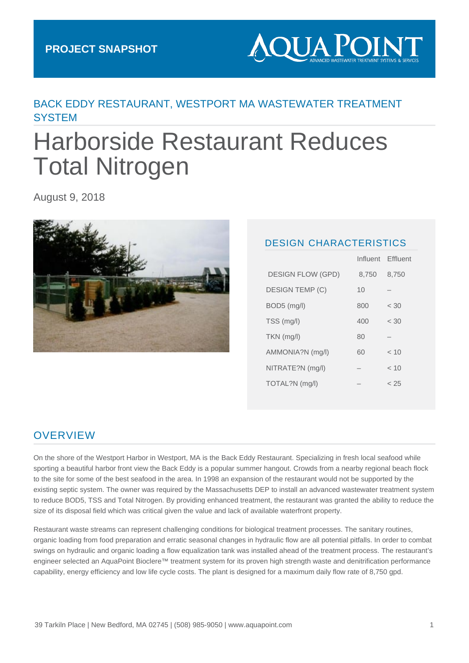# **AQUA POINT**

# BACK EDDY RESTAURANT, WESTPORT MA WASTEWATER TREATMENT **SYSTEM**

# Harborside Restaurant Reduces Total Nitrogen

August 9, 2018



#### DESIGN CHARACTERISTICS

|                          |       | Influent Effluent |
|--------------------------|-------|-------------------|
| <b>DESIGN FLOW (GPD)</b> | 8,750 | 8,750             |
| <b>DESIGN TEMP (C)</b>   | 10    |                   |
| BOD5 (mg/l)              | 800   | < 30              |
| TSS (mg/l)               | 400   | < 30              |
| $TKN$ (mg/l)             | 80    |                   |
| AMMONIA?N (mg/l)         | 60    | < 10              |
| NITRATE?N (mg/l)         |       | ~< 10             |
| TOTAL?N (mg/l)           |       | < 25              |
|                          |       |                   |

## **OVERVIEW**

On the shore of the Westport Harbor in Westport, MA is the Back Eddy Restaurant. Specializing in fresh local seafood while sporting a beautiful harbor front view the Back Eddy is a popular summer hangout. Crowds from a nearby regional beach flock to the site for some of the best seafood in the area. In 1998 an expansion of the restaurant would not be supported by the existing septic system. The owner was required by the Massachusetts DEP to install an advanced wastewater treatment system to reduce BOD5, TSS and Total Nitrogen. By providing enhanced treatment, the restaurant was granted the ability to reduce the size of its disposal field which was critical given the value and lack of available waterfront property.

Restaurant waste streams can represent challenging conditions for biological treatment processes. The sanitary routines, organic loading from food preparation and erratic seasonal changes in hydraulic flow are all potential pitfalls. In order to combat swings on hydraulic and organic loading a flow equalization tank was installed ahead of the treatment process. The restaurant's engineer selected an AquaPoint Bioclere™ treatment system for its proven high strength waste and denitrification performance capability, energy efficiency and low life cycle costs. The plant is designed for a maximum daily flow rate of 8,750 gpd.